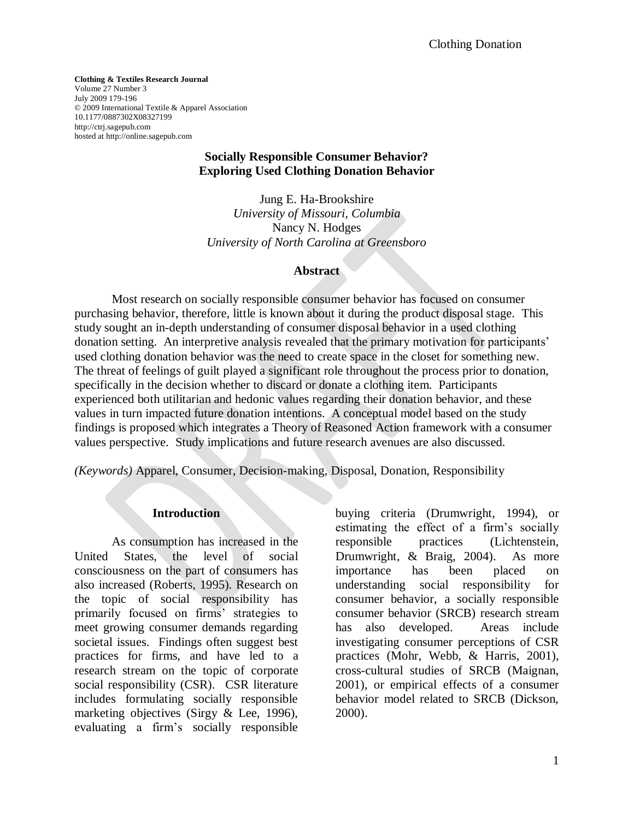**Clothing & Textiles Research Journal** Volume 27 Number 3 July 2009 179-196 © 2009 International Textile & Apparel Association 10.1177/0887302X08327199 http://ctrj.sagepub.com hosted at http://online.sagepub.com

# **Socially Responsible Consumer Behavior? Exploring Used Clothing Donation Behavior**

Jung E. Ha-Brookshire *University of Missouri, Columbia* Nancy N. Hodges *University of North Carolina at Greensboro*

#### **Abstract**

Most research on socially responsible consumer behavior has focused on consumer purchasing behavior, therefore, little is known about it during the product disposal stage. This study sought an in-depth understanding of consumer disposal behavior in a used clothing donation setting. An interpretive analysis revealed that the primary motivation for participants' used clothing donation behavior was the need to create space in the closet for something new. The threat of feelings of guilt played a significant role throughout the process prior to donation, specifically in the decision whether to discard or donate a clothing item. Participants experienced both utilitarian and hedonic values regarding their donation behavior, and these values in turn impacted future donation intentions. A conceptual model based on the study findings is proposed which integrates a Theory of Reasoned Action framework with a consumer values perspective. Study implications and future research avenues are also discussed.

*(Keywords)* Apparel, Consumer, Decision-making, Disposal, Donation, Responsibility

#### **Introduction**

As consumption has increased in the United States, the level of social consciousness on the part of consumers has also increased (Roberts, 1995). Research on the topic of social responsibility has primarily focused on firms' strategies to meet growing consumer demands regarding societal issues. Findings often suggest best practices for firms, and have led to a research stream on the topic of corporate social responsibility (CSR). CSR literature includes formulating socially responsible marketing objectives (Sirgy & Lee, 1996), evaluating a firm's socially responsible

buying criteria (Drumwright, 1994), or estimating the effect of a firm's socially responsible practices (Lichtenstein, Drumwright, & Braig, 2004). As more importance has been placed on understanding social responsibility for consumer behavior, a socially responsible consumer behavior (SRCB) research stream has also developed. Areas include investigating consumer perceptions of CSR practices (Mohr, Webb, & Harris, 2001), cross-cultural studies of SRCB (Maignan, 2001), or empirical effects of a consumer behavior model related to SRCB (Dickson, 2000).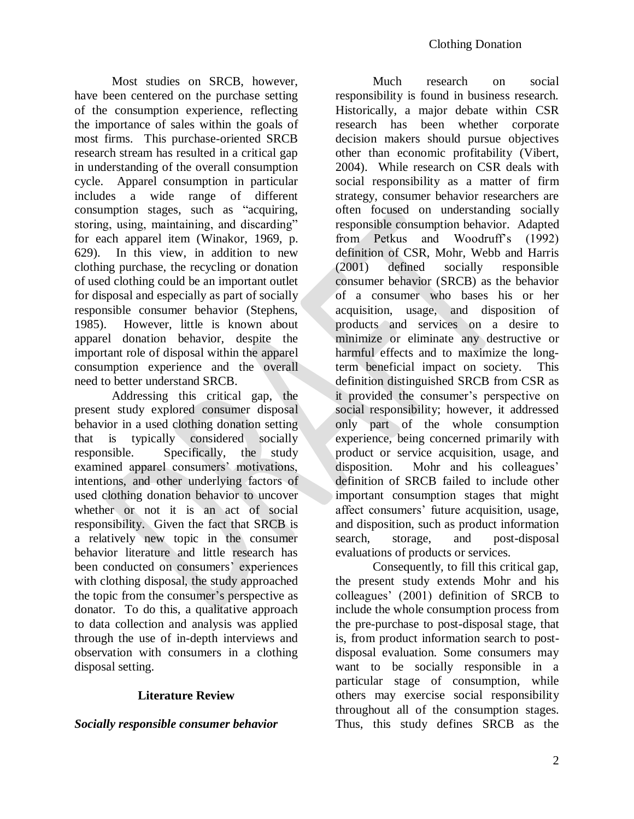Most studies on SRCB, however, have been centered on the purchase setting of the consumption experience, reflecting the importance of sales within the goals of most firms. This purchase-oriented SRCB research stream has resulted in a critical gap in understanding of the overall consumption cycle. Apparel consumption in particular includes a wide range of different consumption stages, such as "acquiring, storing, using, maintaining, and discarding" for each apparel item (Winakor, 1969, p. 629). In this view, in addition to new clothing purchase, the recycling or donation of used clothing could be an important outlet for disposal and especially as part of socially responsible consumer behavior (Stephens, 1985). However, little is known about apparel donation behavior, despite the important role of disposal within the apparel consumption experience and the overall need to better understand SRCB.

Addressing this critical gap, the present study explored consumer disposal behavior in a used clothing donation setting that is typically considered socially responsible. Specifically, the study examined apparel consumers' motivations, intentions, and other underlying factors of used clothing donation behavior to uncover whether or not it is an act of social responsibility. Given the fact that SRCB is a relatively new topic in the consumer behavior literature and little research has been conducted on consumers' experiences with clothing disposal, the study approached the topic from the consumer's perspective as donator. To do this, a qualitative approach to data collection and analysis was applied through the use of in-depth interviews and observation with consumers in a clothing disposal setting.

# **Literature Review**

#### *Socially responsible consumer behavior*

Much research on social responsibility is found in business research. Historically, a major debate within CSR research has been whether corporate decision makers should pursue objectives other than economic profitability (Vibert, 2004). While research on CSR deals with social responsibility as a matter of firm strategy, consumer behavior researchers are often focused on understanding socially responsible consumption behavior. Adapted from Petkus and Woodruff's (1992) definition of CSR, Mohr, Webb and Harris (2001) defined socially responsible consumer behavior (SRCB) as the behavior of a consumer who bases his or her acquisition, usage, and disposition of products and services on a desire to minimize or eliminate any destructive or harmful effects and to maximize the longterm beneficial impact on society. This definition distinguished SRCB from CSR as it provided the consumer's perspective on social responsibility; however, it addressed only part of the whole consumption experience, being concerned primarily with product or service acquisition, usage, and disposition. Mohr and his colleagues' definition of SRCB failed to include other important consumption stages that might affect consumers' future acquisition, usage, and disposition, such as product information search, storage, and post-disposal evaluations of products or services.

Consequently, to fill this critical gap, the present study extends Mohr and his colleagues' (2001) definition of SRCB to include the whole consumption process from the pre-purchase to post-disposal stage, that is, from product information search to postdisposal evaluation. Some consumers may want to be socially responsible in a particular stage of consumption, while others may exercise social responsibility throughout all of the consumption stages. Thus, this study defines SRCB as the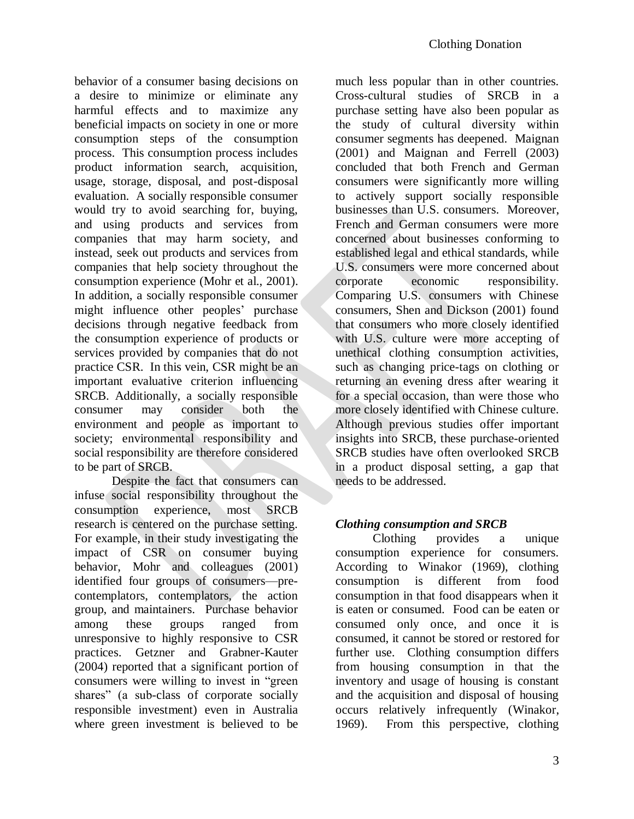behavior of a consumer basing decisions on a desire to minimize or eliminate any harmful effects and to maximize any beneficial impacts on society in one or more consumption steps of the consumption process. This consumption process includes product information search, acquisition, usage, storage, disposal, and post-disposal evaluation. A socially responsible consumer would try to avoid searching for, buying, and using products and services from companies that may harm society, and instead, seek out products and services from companies that help society throughout the consumption experience (Mohr et al., 2001). In addition, a socially responsible consumer might influence other peoples' purchase decisions through negative feedback from the consumption experience of products or services provided by companies that do not practice CSR. In this vein, CSR might be an important evaluative criterion influencing SRCB. Additionally, a socially responsible consumer may consider both the environment and people as important to society; environmental responsibility and social responsibility are therefore considered to be part of SRCB.

Despite the fact that consumers can infuse social responsibility throughout the consumption experience, most SRCB research is centered on the purchase setting. For example, in their study investigating the impact of CSR on consumer buying behavior, Mohr and colleagues (2001) identified four groups of consumers—precontemplators, contemplators, the action group, and maintainers. Purchase behavior among these groups ranged from unresponsive to highly responsive to CSR practices. Getzner and Grabner-Kauter (2004) reported that a significant portion of consumers were willing to invest in "green shares" (a sub-class of corporate socially responsible investment) even in Australia where green investment is believed to be

much less popular than in other countries. Cross-cultural studies of SRCB in a purchase setting have also been popular as the study of cultural diversity within consumer segments has deepened. Maignan (2001) and Maignan and Ferrell (2003) concluded that both French and German consumers were significantly more willing to actively support socially responsible businesses than U.S. consumers. Moreover, French and German consumers were more concerned about businesses conforming to established legal and ethical standards, while U.S. consumers were more concerned about corporate economic responsibility. Comparing U.S. consumers with Chinese consumers, Shen and Dickson (2001) found that consumers who more closely identified with U.S. culture were more accepting of unethical clothing consumption activities, such as changing price-tags on clothing or returning an evening dress after wearing it for a special occasion, than were those who more closely identified with Chinese culture. Although previous studies offer important insights into SRCB, these purchase-oriented SRCB studies have often overlooked SRCB in a product disposal setting, a gap that needs to be addressed.

# *Clothing consumption and SRCB*

Clothing provides a unique consumption experience for consumers. According to Winakor (1969), clothing consumption is different from food consumption in that food disappears when it is eaten or consumed. Food can be eaten or consumed only once, and once it is consumed, it cannot be stored or restored for further use. Clothing consumption differs from housing consumption in that the inventory and usage of housing is constant and the acquisition and disposal of housing occurs relatively infrequently (Winakor, 1969). From this perspective, clothing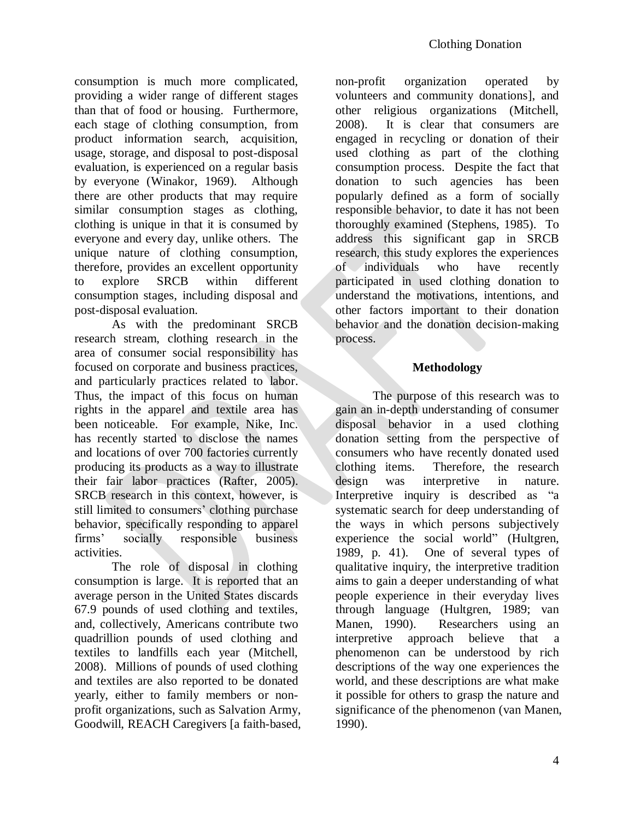consumption is much more complicated, providing a wider range of different stages than that of food or housing. Furthermore, each stage of clothing consumption, from product information search, acquisition, usage, storage, and disposal to post-disposal evaluation, is experienced on a regular basis by everyone (Winakor, 1969). Although there are other products that may require similar consumption stages as clothing, clothing is unique in that it is consumed by everyone and every day, unlike others. The unique nature of clothing consumption, therefore, provides an excellent opportunity to explore SRCB within different consumption stages, including disposal and post-disposal evaluation.

As with the predominant SRCB research stream, clothing research in the area of consumer social responsibility has focused on corporate and business practices, and particularly practices related to labor. Thus, the impact of this focus on human rights in the apparel and textile area has been noticeable. For example, Nike, Inc. has recently started to disclose the names and locations of over 700 factories currently producing its products as a way to illustrate their fair labor practices (Rafter, 2005). SRCB research in this context, however, is still limited to consumers' clothing purchase behavior, specifically responding to apparel firms' socially responsible business activities.

The role of disposal in clothing consumption is large. It is reported that an average person in the United States discards 67.9 pounds of used clothing and textiles, and, collectively, Americans contribute two quadrillion pounds of used clothing and textiles to landfills each year (Mitchell, 2008). Millions of pounds of used clothing and textiles are also reported to be donated yearly, either to family members or nonprofit organizations, such as Salvation Army, Goodwill, REACH Caregivers [a faith-based, non-profit organization operated by volunteers and community donations], and other religious organizations (Mitchell, 2008). It is clear that consumers are engaged in recycling or donation of their used clothing as part of the clothing consumption process. Despite the fact that donation to such agencies has been popularly defined as a form of socially responsible behavior, to date it has not been thoroughly examined (Stephens, 1985). To address this significant gap in SRCB research, this study explores the experiences of individuals who have recently participated in used clothing donation to understand the motivations, intentions, and other factors important to their donation behavior and the donation decision-making process.

## **Methodology**

The purpose of this research was to gain an in-depth understanding of consumer disposal behavior in a used clothing donation setting from the perspective of consumers who have recently donated used clothing items. Therefore, the research design was interpretive in nature. Interpretive inquiry is described as "a systematic search for deep understanding of the ways in which persons subjectively experience the social world" (Hultgren, 1989, p. 41). One of several types of qualitative inquiry, the interpretive tradition aims to gain a deeper understanding of what people experience in their everyday lives through language (Hultgren, 1989; van Manen, 1990). Researchers using an interpretive approach believe that a phenomenon can be understood by rich descriptions of the way one experiences the world, and these descriptions are what make it possible for others to grasp the nature and significance of the phenomenon (van Manen, 1990).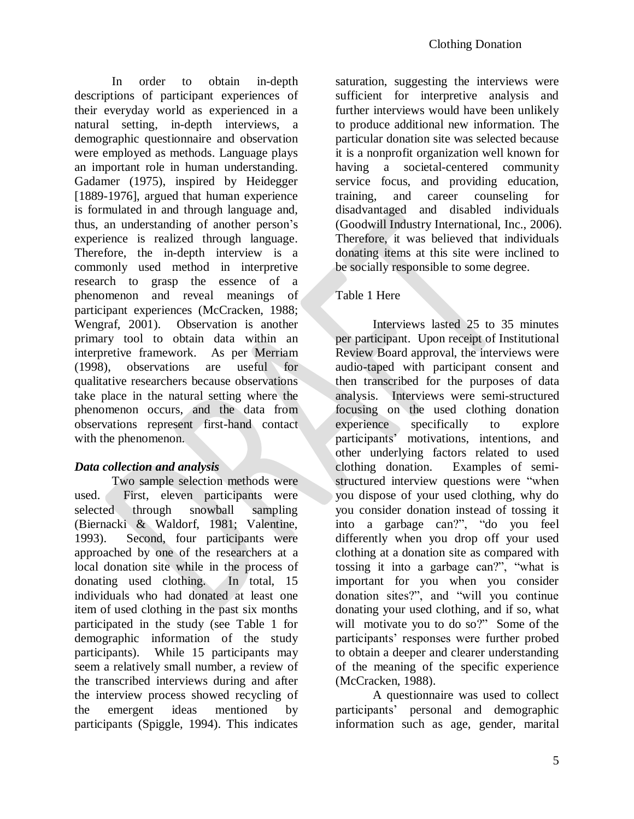In order to obtain in-depth descriptions of participant experiences of their everyday world as experienced in a natural setting, in-depth interviews, a demographic questionnaire and observation were employed as methods. Language plays an important role in human understanding. Gadamer (1975), inspired by Heidegger [1889-1976], argued that human experience is formulated in and through language and, thus, an understanding of another person's experience is realized through language. Therefore, the in-depth interview is a commonly used method in interpretive research to grasp the essence of a phenomenon and reveal meanings of participant experiences (McCracken, 1988; Wengraf, 2001). Observation is another primary tool to obtain data within an interpretive framework. As per Merriam (1998), observations are useful for qualitative researchers because observations take place in the natural setting where the phenomenon occurs, and the data from observations represent first-hand contact with the phenomenon.

# *Data collection and analysis*

Two sample selection methods were used. First, eleven participants were selected through snowball sampling (Biernacki & Waldorf, 1981; Valentine, 1993). Second, four participants were approached by one of the researchers at a local donation site while in the process of donating used clothing. In total, 15 individuals who had donated at least one item of used clothing in the past six months participated in the study (see Table 1 for demographic information of the study participants). While 15 participants may seem a relatively small number, a review of the transcribed interviews during and after the interview process showed recycling of the emergent ideas mentioned by participants (Spiggle, 1994). This indicates saturation, suggesting the interviews were sufficient for interpretive analysis and further interviews would have been unlikely to produce additional new information. The particular donation site was selected because it is a nonprofit organization well known for having a societal-centered community service focus, and providing education, training, and career counseling for disadvantaged and disabled individuals (Goodwill Industry International, Inc., 2006). Therefore, it was believed that individuals donating items at this site were inclined to be socially responsible to some degree.

# Table 1 Here

Interviews lasted 25 to 35 minutes per participant. Upon receipt of Institutional Review Board approval, the interviews were audio-taped with participant consent and then transcribed for the purposes of data analysis. Interviews were semi-structured focusing on the used clothing donation experience specifically to explore participants' motivations, intentions, and other underlying factors related to used clothing donation. Examples of semistructured interview questions were "when you dispose of your used clothing, why do you consider donation instead of tossing it into a garbage can?", "do you feel differently when you drop off your used clothing at a donation site as compared with tossing it into a garbage can?", "what is important for you when you consider donation sites?", and "will you continue donating your used clothing, and if so, what will motivate you to do so?" Some of the participants' responses were further probed to obtain a deeper and clearer understanding of the meaning of the specific experience (McCracken, 1988).

A questionnaire was used to collect participants' personal and demographic information such as age, gender, marital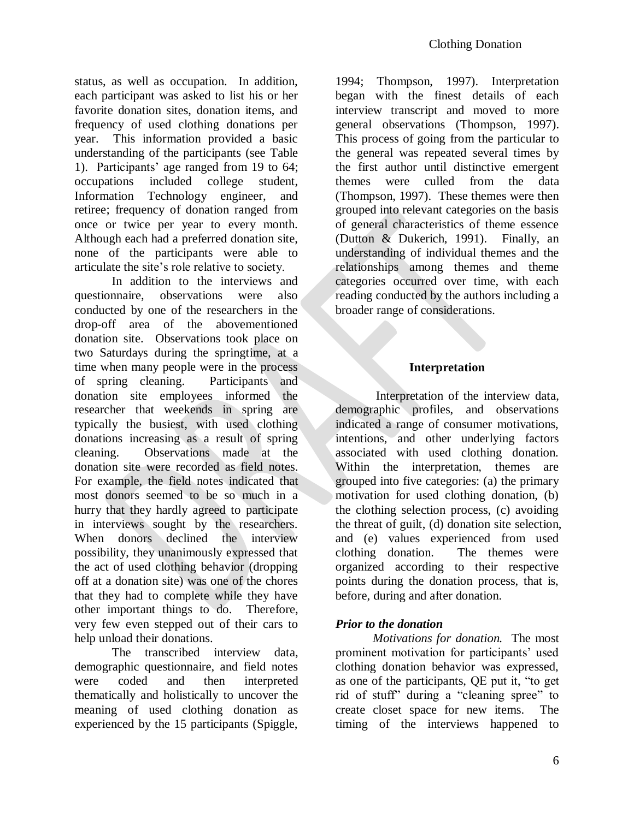status, as well as occupation. In addition, each participant was asked to list his or her favorite donation sites, donation items, and frequency of used clothing donations per year. This information provided a basic understanding of the participants (see Table 1). Participants' age ranged from 19 to 64; occupations included college student, Information Technology engineer, and retiree; frequency of donation ranged from once or twice per year to every month. Although each had a preferred donation site, none of the participants were able to articulate the site's role relative to society.

In addition to the interviews and questionnaire, observations were also conducted by one of the researchers in the drop-off area of the abovementioned donation site. Observations took place on two Saturdays during the springtime, at a time when many people were in the process of spring cleaning. Participants and donation site employees informed the researcher that weekends in spring are typically the busiest, with used clothing donations increasing as a result of spring cleaning. Observations made at the donation site were recorded as field notes. For example, the field notes indicated that most donors seemed to be so much in a hurry that they hardly agreed to participate in interviews sought by the researchers. When donors declined the interview possibility, they unanimously expressed that the act of used clothing behavior (dropping off at a donation site) was one of the chores that they had to complete while they have other important things to do. Therefore, very few even stepped out of their cars to help unload their donations.

The transcribed interview data, demographic questionnaire, and field notes were coded and then interpreted thematically and holistically to uncover the meaning of used clothing donation as experienced by the 15 participants (Spiggle,

1994; Thompson, 1997). Interpretation began with the finest details of each interview transcript and moved to more general observations (Thompson, 1997). This process of going from the particular to the general was repeated several times by the first author until distinctive emergent themes were culled from the data (Thompson, 1997). These themes were then grouped into relevant categories on the basis of general characteristics of theme essence (Dutton & Dukerich, 1991). Finally, an understanding of individual themes and the relationships among themes and theme categories occurred over time, with each reading conducted by the authors including a broader range of considerations.

## **Interpretation**

Interpretation of the interview data, demographic profiles, and observations indicated a range of consumer motivations, intentions, and other underlying factors associated with used clothing donation. Within the interpretation, themes are grouped into five categories: (a) the primary motivation for used clothing donation, (b) the clothing selection process, (c) avoiding the threat of guilt, (d) donation site selection, and (e) values experienced from used clothing donation. The themes were organized according to their respective points during the donation process, that is, before, during and after donation.

### *Prior to the donation*

*Motivations for donation.* The most prominent motivation for participants' used clothing donation behavior was expressed, as one of the participants, QE put it, "to get rid of stuff" during a "cleaning spree" to create closet space for new items. The timing of the interviews happened to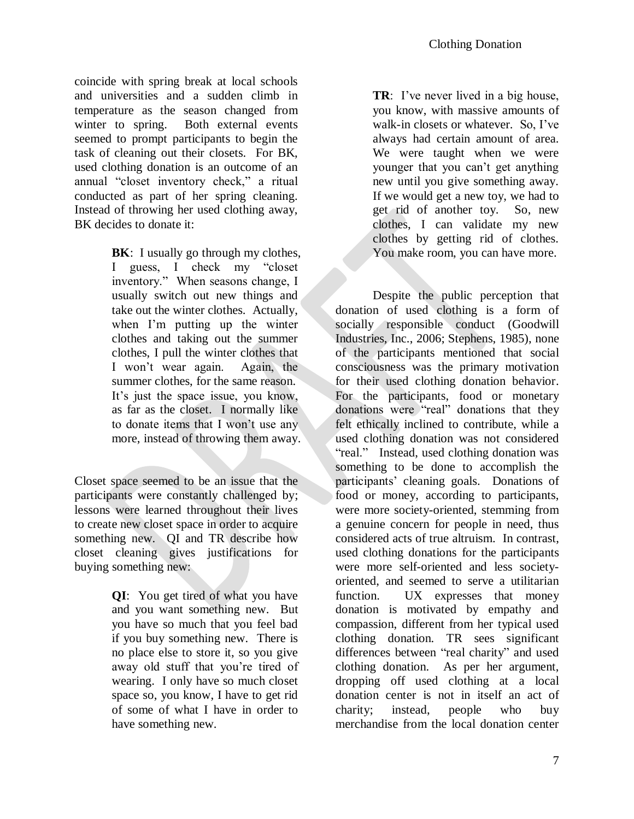coincide with spring break at local schools and universities and a sudden climb in temperature as the season changed from winter to spring. Both external events seemed to prompt participants to begin the task of cleaning out their closets. For BK, used clothing donation is an outcome of an annual "closet inventory check," a ritual conducted as part of her spring cleaning. Instead of throwing her used clothing away, BK decides to donate it:

> **BK**: I usually go through my clothes, I guess, I check my "closet inventory." When seasons change, I usually switch out new things and take out the winter clothes. Actually, when I'm putting up the winter clothes and taking out the summer clothes, I pull the winter clothes that I won't wear again. Again, the summer clothes, for the same reason. It's just the space issue, you know, as far as the closet. I normally like to donate items that I won't use any more, instead of throwing them away.

Closet space seemed to be an issue that the participants were constantly challenged by; lessons were learned throughout their lives to create new closet space in order to acquire something new. QI and TR describe how closet cleaning gives justifications for buying something new:

> **QI**: You get tired of what you have and you want something new. But you have so much that you feel bad if you buy something new. There is no place else to store it, so you give away old stuff that you're tired of wearing. I only have so much closet space so, you know, I have to get rid of some of what I have in order to have something new.

**TR**: I've never lived in a big house, you know, with massive amounts of walk-in closets or whatever. So, I've always had certain amount of area. We were taught when we were younger that you can't get anything new until you give something away. If we would get a new toy, we had to get rid of another toy. So, new clothes, I can validate my new clothes by getting rid of clothes. You make room, you can have more.

Despite the public perception that donation of used clothing is a form of socially responsible conduct (Goodwill Industries, Inc., 2006; Stephens, 1985), none of the participants mentioned that social consciousness was the primary motivation for their used clothing donation behavior. For the participants, food or monetary donations were "real" donations that they felt ethically inclined to contribute, while a used clothing donation was not considered "real." Instead, used clothing donation was something to be done to accomplish the participants' cleaning goals. Donations of food or money, according to participants, were more society-oriented, stemming from a genuine concern for people in need, thus considered acts of true altruism. In contrast, used clothing donations for the participants were more self-oriented and less societyoriented, and seemed to serve a utilitarian function. UX expresses that money donation is motivated by empathy and compassion, different from her typical used clothing donation. TR sees significant differences between "real charity" and used clothing donation. As per her argument, dropping off used clothing at a local donation center is not in itself an act of charity; instead, people who buy merchandise from the local donation center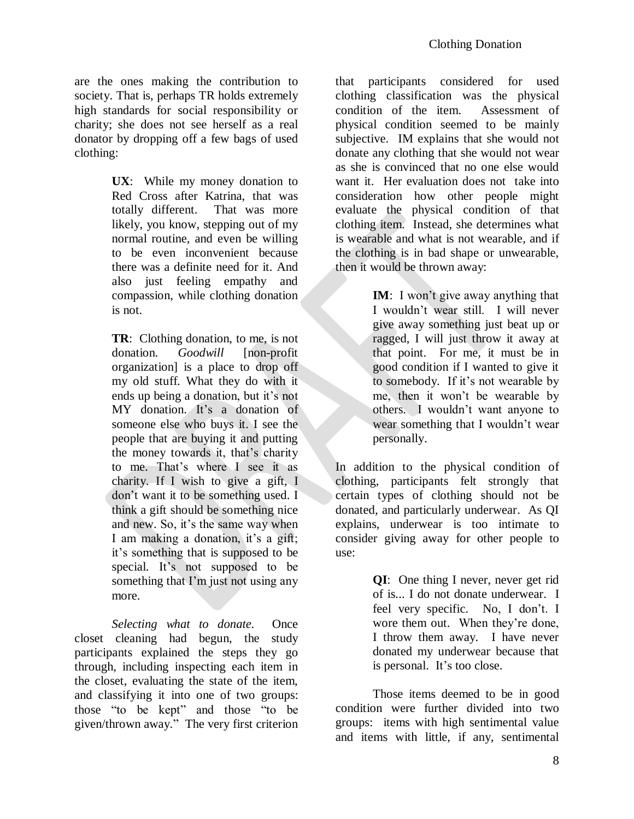are the ones making the contribution to society. That is, perhaps TR holds extremely high standards for social responsibility or charity; she does not see herself as a real donator by dropping off a few bags of used clothing:

> **UX**: While my money donation to Red Cross after Katrina, that was totally different. That was more likely, you know, stepping out of my normal routine, and even be willing to be even inconvenient because there was a definite need for it. And also just feeling empathy and compassion, while clothing donation is not.

> **TR**: Clothing donation, to me, is not donation. *Goodwill* [non-profit organization] is a place to drop off my old stuff. What they do with it ends up being a donation, but it's not MY donation. It's a donation of someone else who buys it. I see the people that are buying it and putting the money towards it, that's charity to me. That's where I see it as charity. If I wish to give a gift, I don't want it to be something used. I think a gift should be something nice and new. So, it's the same way when I am making a donation, it's a gift; it's something that is supposed to be special. It's not supposed to be something that I'm just not using any more.

*Selecting what to donate.* Once closet cleaning had begun, the study participants explained the steps they go through, including inspecting each item in the closet, evaluating the state of the item, and classifying it into one of two groups: those "to be kept" and those "to be given/thrown away." The very first criterion

that participants considered for used clothing classification was the physical condition of the item. Assessment of physical condition seemed to be mainly subjective. IM explains that she would not donate any clothing that she would not wear as she is convinced that no one else would want it. Her evaluation does not take into consideration how other people might evaluate the physical condition of that clothing item. Instead, she determines what is wearable and what is not wearable, and if the clothing is in bad shape or unwearable, then it would be thrown away:

> **IM**: I won't give away anything that I wouldn't wear still. I will never give away something just beat up or ragged, I will just throw it away at that point. For me, it must be in good condition if I wanted to give it to somebody. If it's not wearable by me, then it won't be wearable by others. I wouldn't want anyone to wear something that I wouldn't wear personally.

In addition to the physical condition of clothing, participants felt strongly that certain types of clothing should not be donated, and particularly underwear. As QI explains, underwear is too intimate to consider giving away for other people to use:

> **QI**: One thing I never, never get rid of is... I do not donate underwear. I feel very specific. No, I don't. I wore them out. When they're done, I throw them away. I have never donated my underwear because that is personal. It's too close.

Those items deemed to be in good condition were further divided into two groups: items with high sentimental value and items with little, if any, sentimental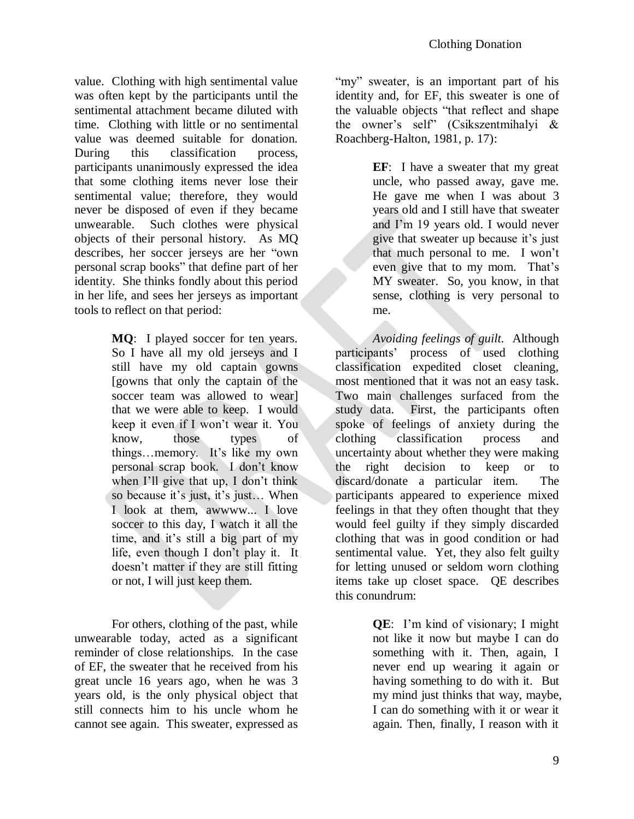value. Clothing with high sentimental value was often kept by the participants until the sentimental attachment became diluted with time. Clothing with little or no sentimental value was deemed suitable for donation. During this classification process, participants unanimously expressed the idea that some clothing items never lose their sentimental value; therefore, they would never be disposed of even if they became unwearable. Such clothes were physical objects of their personal history. As MQ describes, her soccer jerseys are her "own personal scrap books" that define part of her identity. She thinks fondly about this period in her life, and sees her jerseys as important tools to reflect on that period:

> **MQ**: I played soccer for ten years. So I have all my old jerseys and I still have my old captain gowns [gowns that only the captain of the soccer team was allowed to wear] that we were able to keep. I would keep it even if I won't wear it. You know, those types of things…memory. It's like my own personal scrap book. I don't know when I'll give that up, I don't think so because it's just, it's just… When I look at them, awwww... I love soccer to this day, I watch it all the time, and it's still a big part of my life, even though I don't play it. It doesn't matter if they are still fitting or not, I will just keep them.

For others, clothing of the past, while unwearable today, acted as a significant reminder of close relationships. In the case of EF, the sweater that he received from his great uncle 16 years ago, when he was 3 years old, is the only physical object that still connects him to his uncle whom he cannot see again. This sweater, expressed as

"my" sweater, is an important part of his identity and, for EF, this sweater is one of the valuable objects "that reflect and shape the owner's self" (Csikszentmihalyi & Roachberg-Halton, 1981, p. 17):

> **EF**: I have a sweater that my great uncle, who passed away, gave me. He gave me when I was about 3 years old and I still have that sweater and I'm 19 years old. I would never give that sweater up because it's just that much personal to me. I won't even give that to my mom. That's MY sweater. So, you know, in that sense, clothing is very personal to me.

*Avoiding feelings of guilt*. Although participants' process of used clothing classification expedited closet cleaning, most mentioned that it was not an easy task. Two main challenges surfaced from the study data. First, the participants often spoke of feelings of anxiety during the clothing classification process and uncertainty about whether they were making the right decision to keep or to discard/donate a particular item. The participants appeared to experience mixed feelings in that they often thought that they would feel guilty if they simply discarded clothing that was in good condition or had sentimental value. Yet, they also felt guilty for letting unused or seldom worn clothing items take up closet space. QE describes this conundrum:

> **QE**: I'm kind of visionary; I might not like it now but maybe I can do something with it. Then, again, I never end up wearing it again or having something to do with it. But my mind just thinks that way, maybe, I can do something with it or wear it again. Then, finally, I reason with it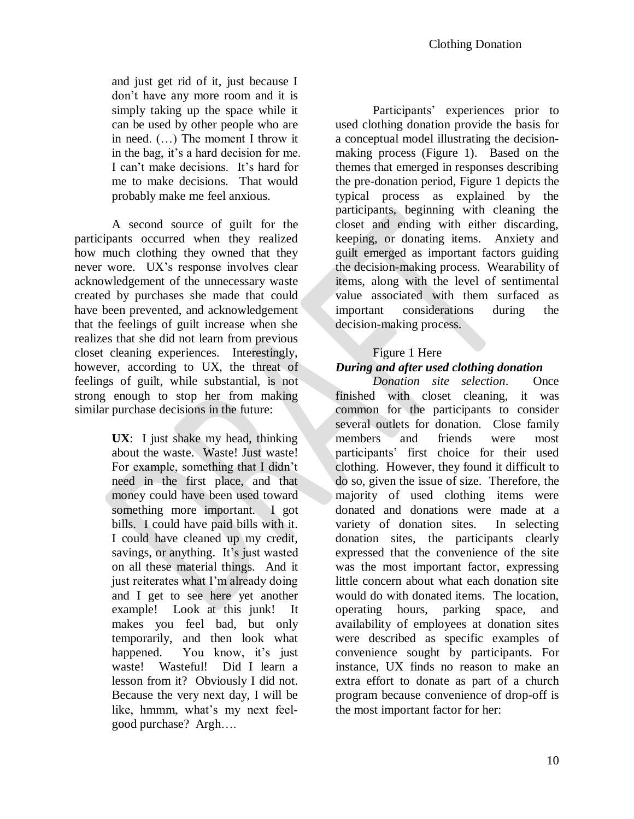and just get rid of it, just because I don't have any more room and it is simply taking up the space while it can be used by other people who are in need. (…) The moment I throw it in the bag, it's a hard decision for me. I can't make decisions. It's hard for me to make decisions. That would probably make me feel anxious.

A second source of guilt for the participants occurred when they realized how much clothing they owned that they never wore. UX's response involves clear acknowledgement of the unnecessary waste created by purchases she made that could have been prevented, and acknowledgement that the feelings of guilt increase when she realizes that she did not learn from previous closet cleaning experiences. Interestingly, however, according to UX, the threat of feelings of guilt, while substantial, is not strong enough to stop her from making similar purchase decisions in the future:

> **UX**: I just shake my head, thinking about the waste. Waste! Just waste! For example, something that I didn't need in the first place, and that money could have been used toward something more important. I got bills. I could have paid bills with it. I could have cleaned up my credit, savings, or anything. It's just wasted on all these material things. And it just reiterates what I'm already doing and I get to see here yet another example! Look at this junk! It makes you feel bad, but only temporarily, and then look what happened. You know, it's just waste! Wasteful! Did I learn a lesson from it? Obviously I did not. Because the very next day, I will be like, hmmm, what's my next feelgood purchase? Argh….

Participants' experiences prior to used clothing donation provide the basis for a conceptual model illustrating the decisionmaking process (Figure 1). Based on the themes that emerged in responses describing the pre-donation period, Figure 1 depicts the typical process as explained by the participants, beginning with cleaning the closet and ending with either discarding, keeping, or donating items. Anxiety and guilt emerged as important factors guiding the decision-making process. Wearability of items, along with the level of sentimental value associated with them surfaced as important considerations during the decision-making process.

# Figure 1 Here

# *During and after used clothing donation*

*Donation site selection*. Once finished with closet cleaning, it was common for the participants to consider several outlets for donation. Close family members and friends were most participants' first choice for their used clothing. However, they found it difficult to do so, given the issue of size. Therefore, the majority of used clothing items were donated and donations were made at a variety of donation sites. In selecting donation sites, the participants clearly expressed that the convenience of the site was the most important factor, expressing little concern about what each donation site would do with donated items. The location, operating hours, parking space, and availability of employees at donation sites were described as specific examples of convenience sought by participants. For instance, UX finds no reason to make an extra effort to donate as part of a church program because convenience of drop-off is the most important factor for her: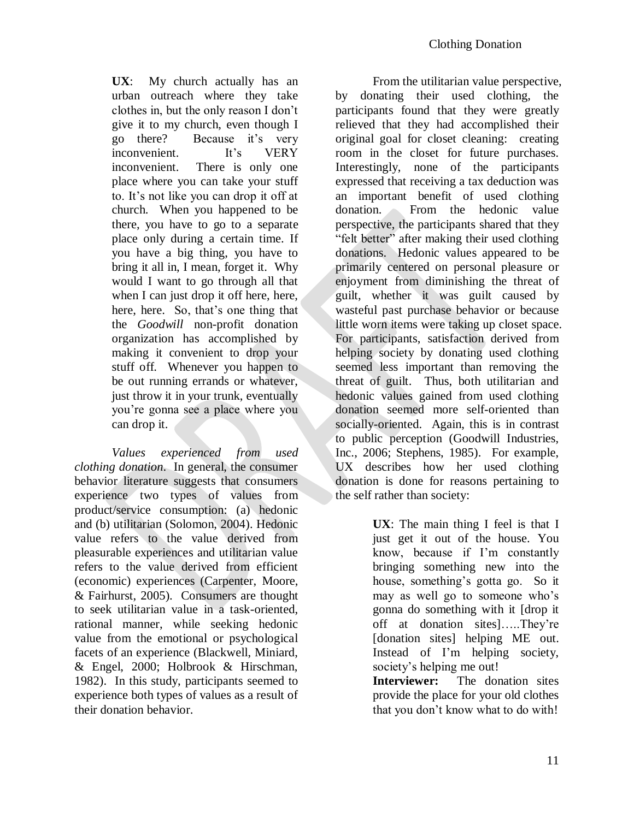**UX**: My church actually has an urban outreach where they take clothes in, but the only reason I don't give it to my church, even though I go there? Because it's very inconvenient. It's VERY inconvenient. There is only one place where you can take your stuff to. It's not like you can drop it off at church. When you happened to be there, you have to go to a separate place only during a certain time. If you have a big thing, you have to bring it all in, I mean, forget it. Why would I want to go through all that when I can just drop it off here, here, here, here. So, that's one thing that the *Goodwill* non-profit donation organization has accomplished by making it convenient to drop your stuff off. Whenever you happen to be out running errands or whatever, just throw it in your trunk, eventually you're gonna see a place where you can drop it.

*Values experienced from used clothing donation*. In general, the consumer behavior literature suggests that consumers experience two types of values from product/service consumption: (a) hedonic and (b) utilitarian (Solomon, 2004). Hedonic value refers to the value derived from pleasurable experiences and utilitarian value refers to the value derived from efficient (economic) experiences (Carpenter, Moore, & Fairhurst, 2005). Consumers are thought to seek utilitarian value in a task-oriented, rational manner, while seeking hedonic value from the emotional or psychological facets of an experience (Blackwell, Miniard, & Engel, 2000; Holbrook & Hirschman, 1982). In this study, participants seemed to experience both types of values as a result of their donation behavior.

From the utilitarian value perspective, by donating their used clothing, the participants found that they were greatly relieved that they had accomplished their original goal for closet cleaning: creating room in the closet for future purchases. Interestingly, none of the participants expressed that receiving a tax deduction was an important benefit of used clothing donation. From the hedonic value perspective, the participants shared that they "felt better" after making their used clothing donations. Hedonic values appeared to be primarily centered on personal pleasure or enjoyment from diminishing the threat of guilt, whether it was guilt caused by wasteful past purchase behavior or because little worn items were taking up closet space. For participants, satisfaction derived from helping society by donating used clothing seemed less important than removing the threat of guilt. Thus, both utilitarian and hedonic values gained from used clothing donation seemed more self-oriented than socially-oriented. Again, this is in contrast to public perception (Goodwill Industries, Inc., 2006; Stephens, 1985). For example, UX describes how her used clothing donation is done for reasons pertaining to the self rather than society:

> **UX**: The main thing I feel is that I just get it out of the house. You know, because if I'm constantly bringing something new into the house, something's gotta go. So it may as well go to someone who's gonna do something with it [drop it off at donation sites]…..They're [donation sites] helping ME out. Instead of I'm helping society, society's helping me out!

**Interviewer:** The donation sites provide the place for your old clothes that you don't know what to do with!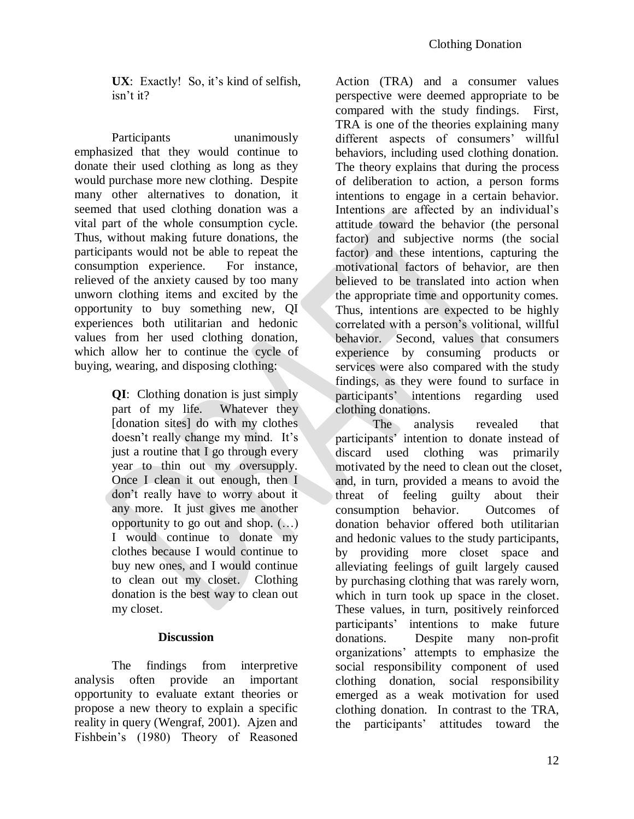**UX**: Exactly! So, it's kind of selfish, isn't it?

Participants unanimously emphasized that they would continue to donate their used clothing as long as they would purchase more new clothing. Despite many other alternatives to donation, it seemed that used clothing donation was a vital part of the whole consumption cycle. Thus, without making future donations, the participants would not be able to repeat the consumption experience. For instance, relieved of the anxiety caused by too many unworn clothing items and excited by the opportunity to buy something new, QI experiences both utilitarian and hedonic values from her used clothing donation, which allow her to continue the cycle of buying, wearing, and disposing clothing:

> **QI**: Clothing donation is just simply part of my life. Whatever they [donation sites] do with my clothes doesn't really change my mind. It's just a routine that I go through every year to thin out my oversupply. Once I clean it out enough, then I don't really have to worry about it any more. It just gives me another opportunity to go out and shop. (…) I would continue to donate my clothes because I would continue to buy new ones, and I would continue to clean out my closet. Clothing donation is the best way to clean out my closet.

# **Discussion**

The findings from interpretive analysis often provide an important opportunity to evaluate extant theories or propose a new theory to explain a specific reality in query (Wengraf, 2001). Ajzen and Fishbein's (1980) Theory of Reasoned

Action (TRA) and a consumer values perspective were deemed appropriate to be compared with the study findings. First, TRA is one of the theories explaining many different aspects of consumers' willful behaviors, including used clothing donation. The theory explains that during the process of deliberation to action, a person forms intentions to engage in a certain behavior. Intentions are affected by an individual's attitude toward the behavior (the personal factor) and subjective norms (the social factor) and these intentions, capturing the motivational factors of behavior, are then believed to be translated into action when the appropriate time and opportunity comes. Thus, intentions are expected to be highly correlated with a person's volitional, willful behavior. Second, values that consumers experience by consuming products or services were also compared with the study findings, as they were found to surface in participants' intentions regarding used clothing donations.

The analysis revealed that participants' intention to donate instead of discard used clothing was primarily motivated by the need to clean out the closet, and, in turn, provided a means to avoid the threat of feeling guilty about their consumption behavior. Outcomes of donation behavior offered both utilitarian and hedonic values to the study participants, by providing more closet space and alleviating feelings of guilt largely caused by purchasing clothing that was rarely worn, which in turn took up space in the closet. These values, in turn, positively reinforced participants' intentions to make future donations. Despite many non-profit organizations' attempts to emphasize the social responsibility component of used clothing donation, social responsibility emerged as a weak motivation for used clothing donation. In contrast to the TRA, the participants' attitudes toward the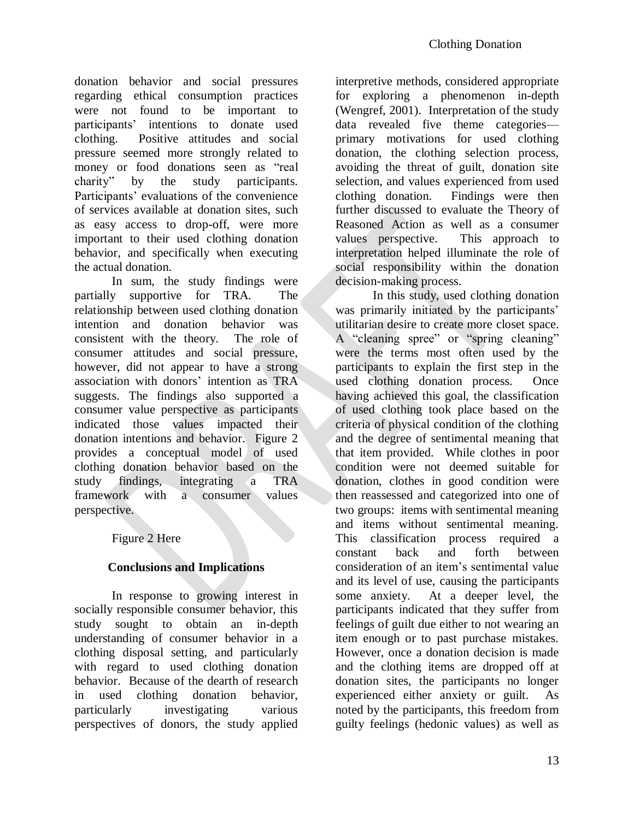donation behavior and social pressures regarding ethical consumption practices were not found to be important to participants' intentions to donate used clothing. Positive attitudes and social pressure seemed more strongly related to money or food donations seen as "real charity" by the study participants. Participants' evaluations of the convenience of services available at donation sites, such as easy access to drop-off, were more important to their used clothing donation behavior, and specifically when executing the actual donation.

In sum, the study findings were partially supportive for TRA. The relationship between used clothing donation intention and donation behavior was consistent with the theory. The role of consumer attitudes and social pressure, however, did not appear to have a strong association with donors' intention as TRA suggests. The findings also supported a consumer value perspective as participants indicated those values impacted their donation intentions and behavior. Figure 2 provides a conceptual model of used clothing donation behavior based on the study findings, integrating a TRA framework with a consumer values perspective.

# Figure 2 Here

# **Conclusions and Implications**

In response to growing interest in socially responsible consumer behavior, this study sought to obtain an in-depth understanding of consumer behavior in a clothing disposal setting, and particularly with regard to used clothing donation behavior. Because of the dearth of research in used clothing donation behavior, particularly investigating various perspectives of donors, the study applied interpretive methods, considered appropriate for exploring a phenomenon in-depth (Wengref, 2001). Interpretation of the study data revealed five theme categories primary motivations for used clothing donation, the clothing selection process, avoiding the threat of guilt, donation site selection, and values experienced from used clothing donation. Findings were then further discussed to evaluate the Theory of Reasoned Action as well as a consumer values perspective. This approach to interpretation helped illuminate the role of social responsibility within the donation decision-making process.

In this study, used clothing donation was primarily initiated by the participants' utilitarian desire to create more closet space. A "cleaning spree" or "spring cleaning" were the terms most often used by the participants to explain the first step in the used clothing donation process. Once having achieved this goal, the classification of used clothing took place based on the criteria of physical condition of the clothing and the degree of sentimental meaning that that item provided. While clothes in poor condition were not deemed suitable for donation, clothes in good condition were then reassessed and categorized into one of two groups: items with sentimental meaning and items without sentimental meaning. This classification process required a constant back and forth between consideration of an item's sentimental value and its level of use, causing the participants some anxiety. At a deeper level, the participants indicated that they suffer from feelings of guilt due either to not wearing an item enough or to past purchase mistakes. However, once a donation decision is made and the clothing items are dropped off at donation sites, the participants no longer experienced either anxiety or guilt. As noted by the participants, this freedom from guilty feelings (hedonic values) as well as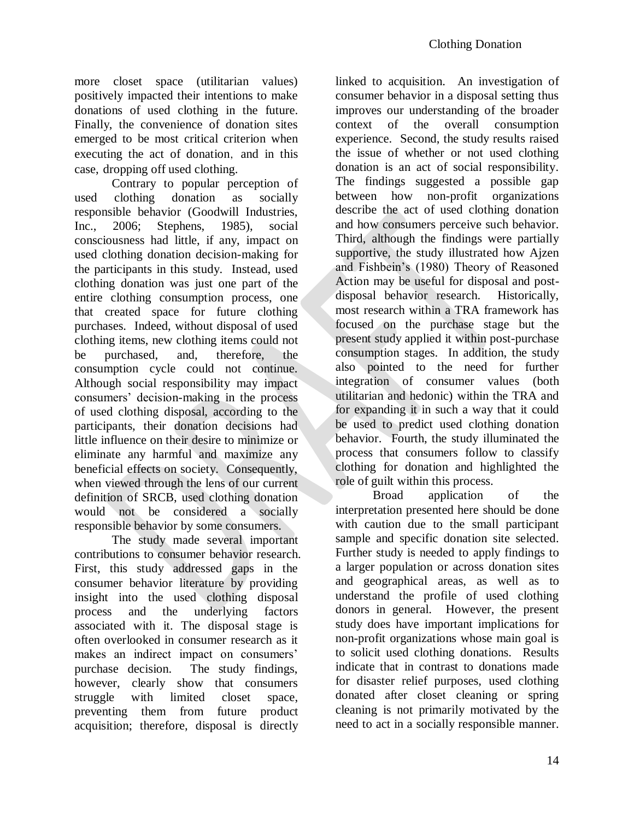more closet space (utilitarian values) positively impacted their intentions to make donations of used clothing in the future. Finally, the convenience of donation sites emerged to be most critical criterion when executing the act of donation, and in this case, dropping off used clothing.

Contrary to popular perception of used clothing donation as socially responsible behavior (Goodwill Industries, Inc., 2006; Stephens, 1985), social consciousness had little, if any, impact on used clothing donation decision-making for the participants in this study. Instead, used clothing donation was just one part of the entire clothing consumption process, one that created space for future clothing purchases. Indeed, without disposal of used clothing items, new clothing items could not be purchased, and, therefore, the consumption cycle could not continue. Although social responsibility may impact consumers' decision-making in the process of used clothing disposal, according to the participants, their donation decisions had little influence on their desire to minimize or eliminate any harmful and maximize any beneficial effects on society. Consequently, when viewed through the lens of our current definition of SRCB, used clothing donation would not be considered a socially responsible behavior by some consumers.

The study made several important contributions to consumer behavior research. First, this study addressed gaps in the consumer behavior literature by providing insight into the used clothing disposal process and the underlying factors associated with it. The disposal stage is often overlooked in consumer research as it makes an indirect impact on consumers' purchase decision. The study findings, however, clearly show that consumers struggle with limited closet space, preventing them from future product acquisition; therefore, disposal is directly

linked to acquisition. An investigation of consumer behavior in a disposal setting thus improves our understanding of the broader context of the overall consumption experience. Second, the study results raised the issue of whether or not used clothing donation is an act of social responsibility. The findings suggested a possible gap between how non-profit organizations describe the act of used clothing donation and how consumers perceive such behavior. Third, although the findings were partially supportive, the study illustrated how Ajzen and Fishbein's (1980) Theory of Reasoned Action may be useful for disposal and postdisposal behavior research. Historically, most research within a TRA framework has focused on the purchase stage but the present study applied it within post-purchase consumption stages. In addition, the study also pointed to the need for further integration of consumer values (both utilitarian and hedonic) within the TRA and for expanding it in such a way that it could be used to predict used clothing donation behavior. Fourth, the study illuminated the process that consumers follow to classify clothing for donation and highlighted the role of guilt within this process.

Broad application of the interpretation presented here should be done with caution due to the small participant sample and specific donation site selected. Further study is needed to apply findings to a larger population or across donation sites and geographical areas, as well as to understand the profile of used clothing donors in general. However, the present study does have important implications for non-profit organizations whose main goal is to solicit used clothing donations. Results indicate that in contrast to donations made for disaster relief purposes, used clothing donated after closet cleaning or spring cleaning is not primarily motivated by the need to act in a socially responsible manner.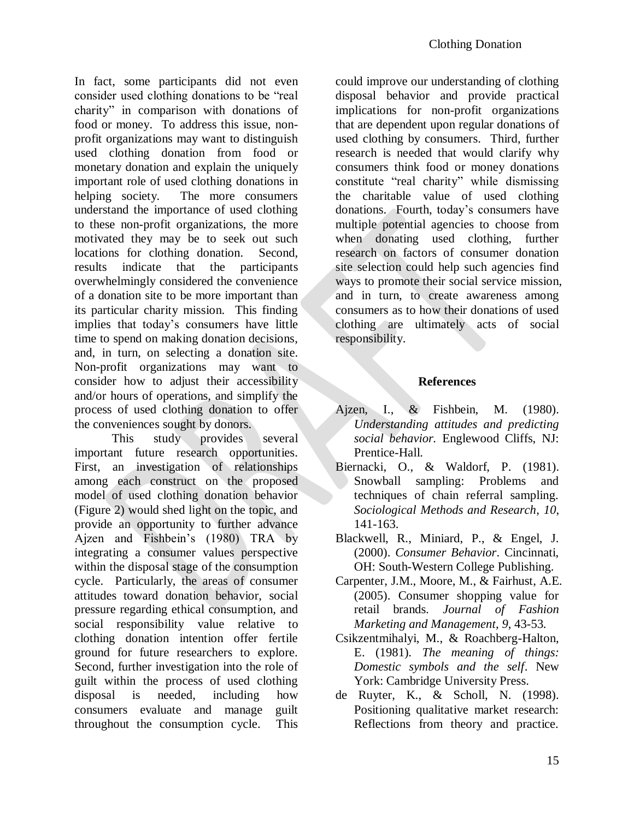In fact, some participants did not even consider used clothing donations to be "real charity" in comparison with donations of food or money. To address this issue, nonprofit organizations may want to distinguish used clothing donation from food or monetary donation and explain the uniquely important role of used clothing donations in helping society. The more consumers understand the importance of used clothing to these non-profit organizations, the more motivated they may be to seek out such locations for clothing donation. Second, results indicate that the participants overwhelmingly considered the convenience of a donation site to be more important than its particular charity mission. This finding implies that today's consumers have little time to spend on making donation decisions, and, in turn, on selecting a donation site. Non-profit organizations may want to consider how to adjust their accessibility and/or hours of operations, and simplify the process of used clothing donation to offer the conveniences sought by donors.

This study provides several important future research opportunities. First, an investigation of relationships among each construct on the proposed model of used clothing donation behavior (Figure 2) would shed light on the topic, and provide an opportunity to further advance Ajzen and Fishbein's (1980) TRA by integrating a consumer values perspective within the disposal stage of the consumption cycle. Particularly, the areas of consumer attitudes toward donation behavior, social pressure regarding ethical consumption, and social responsibility value relative to clothing donation intention offer fertile ground for future researchers to explore. Second, further investigation into the role of guilt within the process of used clothing disposal is needed, including how consumers evaluate and manage guilt throughout the consumption cycle. This

could improve our understanding of clothing disposal behavior and provide practical implications for non-profit organizations that are dependent upon regular donations of used clothing by consumers. Third, further research is needed that would clarify why consumers think food or money donations constitute "real charity" while dismissing the charitable value of used clothing donations. Fourth, today's consumers have multiple potential agencies to choose from when donating used clothing, further research on factors of consumer donation site selection could help such agencies find ways to promote their social service mission, and in turn, to create awareness among consumers as to how their donations of used clothing are ultimately acts of social responsibility.

### **References**

- Ajzen, I., & Fishbein, M. (1980). *Understanding attitudes and predicting social behavior.* Englewood Cliffs, NJ: Prentice-Hall.
- Biernacki, O., & Waldorf, P. (1981). Snowball sampling: Problems and techniques of chain referral sampling. *Sociological Methods and Research*, *10*, 141-163.
- Blackwell, R., Miniard, P., & Engel, J. (2000). *Consumer Behavior*. Cincinnati, OH: South-Western College Publishing.
- Carpenter, J.M., Moore, M., & Fairhust, A.E. (2005). Consumer shopping value for retail brands. *Journal of Fashion Marketing and Management*, *9*, 43-53.
- Csikzentmihalyi, M., & Roachberg-Halton, E. (1981). *The meaning of things: Domestic symbols and the self*. New York: Cambridge University Press.
- de Ruyter, K., & Scholl, N. (1998). Positioning qualitative market research: Reflections from theory and practice.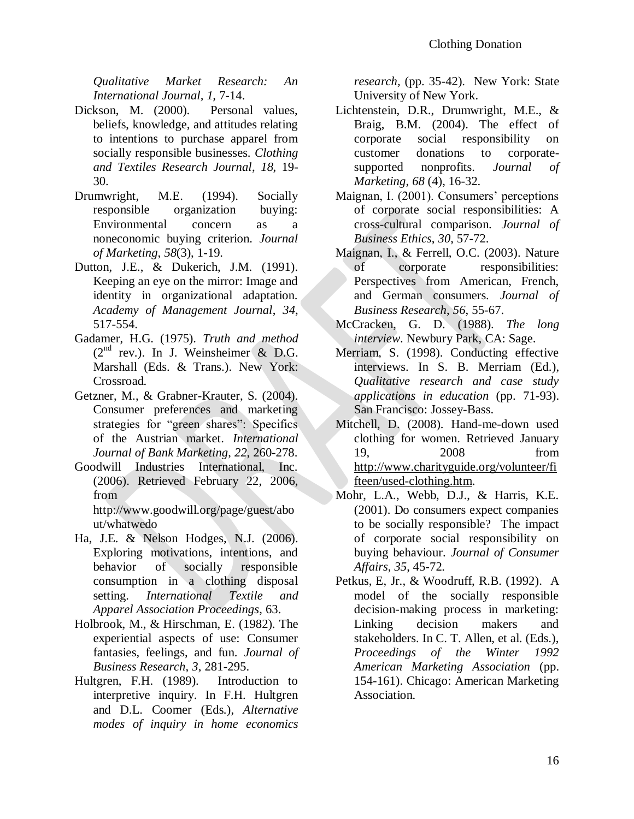*Qualitative Market Research: An International Journal, 1,* 7-14.

- Dickson, M. (2000). Personal values, beliefs, knowledge, and attitudes relating to intentions to purchase apparel from socially responsible businesses. *Clothing and Textiles Research Journal*, *18*, 19- 30.
- Drumwright, M.E. (1994). Socially responsible organization buying: Environmental concern as a noneconomic buying criterion. *Journal of Marketing*, *58*(3), 1-19.
- Dutton, J.E., & Dukerich, J.M. (1991). Keeping an eye on the mirror: Image and identity in organizational adaptation. *Academy of Management Journal*, *34*, 517-554.
- Gadamer, H.G. (1975). *Truth and method*   $(2^{nd}$  rev.). In J. Weinsheimer & D.G. Marshall (Eds. & Trans.). New York: Crossroad.
- Getzner, M., & Grabner-Krauter, S. (2004). Consumer preferences and marketing strategies for "green shares": Specifics of the Austrian market. *International Journal of Bank Marketing*, *22*, 260-278.
- Goodwill Industries International, Inc. (2006). Retrieved February 22, 2006, from

[http://www.goodwill.org/page/guest/abo](http://www.goodwill.org/page/guest/about/whatwedo) [ut/whatwedo](http://www.goodwill.org/page/guest/about/whatwedo)

- Ha, J.E. & Nelson Hodges, N.J. (2006). Exploring motivations, intentions, and behavior of socially responsible consumption in a clothing disposal setting. *International Textile and Apparel Association Proceedings*, 63.
- Holbrook, M., & Hirschman, E. (1982). The experiential aspects of use: Consumer fantasies, feelings, and fun. *Journal of Business Research*, *3*, 281-295.
- Hultgren, F.H. (1989). Introduction to interpretive inquiry. In F.H. Hultgren and D.L. Coomer (Eds.), *Alternative modes of inquiry in home economics*

*research,* (pp. 35-42). New York: State University of New York.

- Lichtenstein, D.R., Drumwright, M.E., & Braig, B.M. (2004). The effect of corporate social responsibility on customer donations to corporatesupported nonprofits. *Journal of Marketing*, *68* (4), 16-32.
- Maignan, I. (2001). Consumers' perceptions of corporate social responsibilities: A cross-cultural comparison. *Journal of Business Ethics*, *30*, 57-72.
- Maignan, I., & Ferrell, O.C. (2003). Nature of corporate responsibilities: Perspectives from American, French, and German consumers. *Journal of Business Research*, *56*, 55-67.
- McCracken, G. D. (1988). *The long interview*. Newbury Park, CA: Sage.
- Merriam, S. (1998). Conducting effective interviews. In S. B. Merriam (Ed.), *Qualitative research and case study applications in education* (pp. 71-93). San Francisco: Jossey-Bass.
- Mitchell, D. (2008). Hand-me-down used clothing for women. Retrieved January 19, 2008 from [http://www.charityguide.org/volunteer/fi](http://www.charityguide.org/volunteer/fifteen/used-clothing.htm) [fteen/used-clothing.htm.](http://www.charityguide.org/volunteer/fifteen/used-clothing.htm)
- Mohr, L.A., Webb, D.J., & Harris, K.E. (2001). Do consumers expect companies to be socially responsible? The impact of corporate social responsibility on buying behaviour. *Journal of Consumer Affairs*, *35*, 45-72.
- Petkus, E, Jr., & Woodruff, R.B. (1992). A model of the socially responsible decision-making process in marketing: Linking decision makers and stakeholders. In C. T. Allen, et al. (Eds.), *Proceedings of the Winter 1992 American Marketing Association* (pp. 154-161). Chicago: American Marketing Association.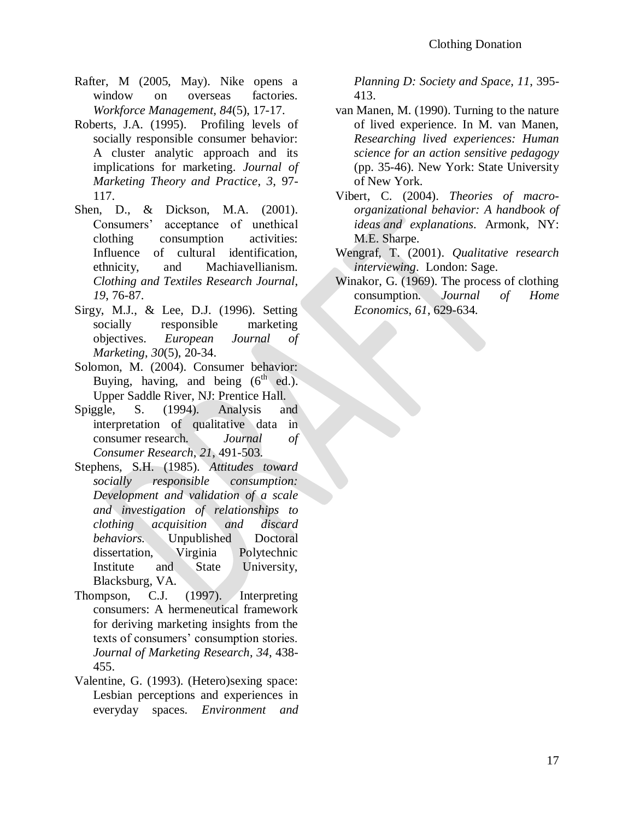- Rafter, M (2005, May). Nike opens a window on overseas factories. *Workforce Management, 84*(5), 17-17.
- Roberts, J.A. (1995). Profiling levels of socially responsible consumer behavior: A cluster analytic approach and its implications for marketing. *Journal of Marketing Theory and Practice*, *3*, 97- 117.
- Shen, D., & Dickson, M.A. (2001). Consumers' acceptance of unethical clothing consumption activities: Influence of cultural identification, ethnicity, and Machiavellianism. *Clothing and Textiles Research Journal*, *19*, 76-87.
- Sirgy, M.J., & Lee, D.J. (1996). Setting socially responsible marketing objectives. *European Journal of Marketing*, *30*(5), 20-34.
- Solomon, M. (2004). Consumer behavior: Buying, having, and being  $(6^{th}$  ed.). Upper Saddle River, NJ: Prentice Hall.
- Spiggle, S. (1994). Analysis and interpretation of qualitative data in consumer research. *Journal of Consumer Research*, *21*, 491-503.
- Stephens, S.H. (1985). *Attitudes toward socially responsible consumption: Development and validation of a scale and investigation of relationships to clothing acquisition and discard behaviors.* Unpublished Doctoral dissertation, Virginia Polytechnic Institute and State University, Blacksburg, VA.
- Thompson, C.J. (1997). Interpreting consumers: A hermeneutical framework for deriving marketing insights from the texts of consumers' consumption stories. *Journal of Marketing Research*, *34*, 438- 455.
- Valentine, G. (1993). (Hetero)sexing space: Lesbian perceptions and experiences in everyday spaces. *Environment and*

*Planning D: Society and Space, 11*, 395- 413.

- van Manen, M. (1990). Turning to the nature of lived experience. In M. van Manen, *Researching lived experiences: Human science for an action sensitive pedagogy* (pp. 35-46). New York: State University of New York.
- Vibert, C. (2004). *Theories of macroorganizational behavior: A handbook of ideas and explanations*. Armonk, NY: M.E. Sharpe.
- Wengraf, T. (2001). *Qualitative research interviewing*. London: Sage.
- Winakor, G. (1969). The process of clothing consumption. *Journal of Home Economics*, *61*, 629-634.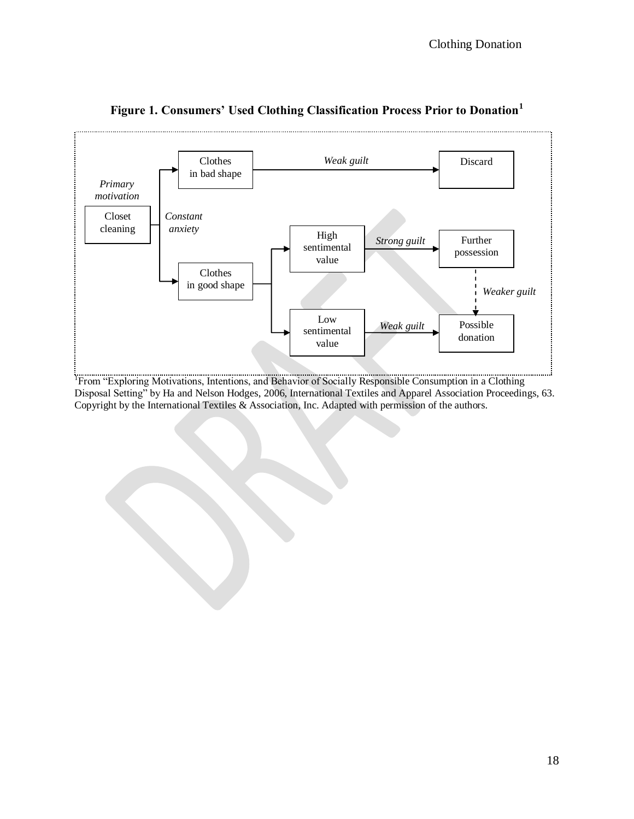

**Figure 1. Consumers' Used Clothing Classification Process Prior to Donation<sup>1</sup>**

1 From "Exploring Motivations, Intentions, and Behavior of Socially Responsible Consumption in a Clothing Disposal Setting" by Ha and Nelson Hodges, 2006, International Textiles and Apparel Association Proceedings, 63. Copyright by the International Textiles & Association, Inc. Adapted with permission of the authors.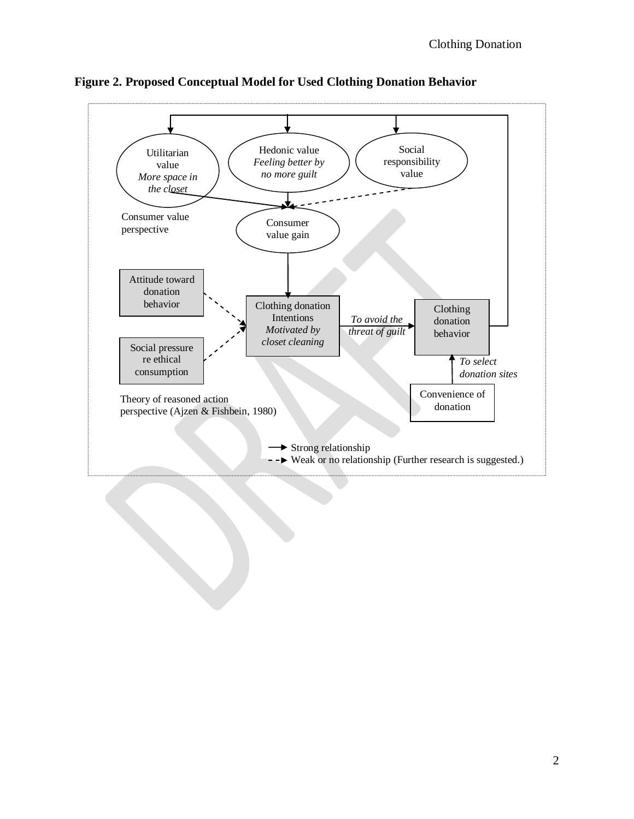

**Figure 2. Proposed Conceptual Model for Used Clothing Donation Behavior**